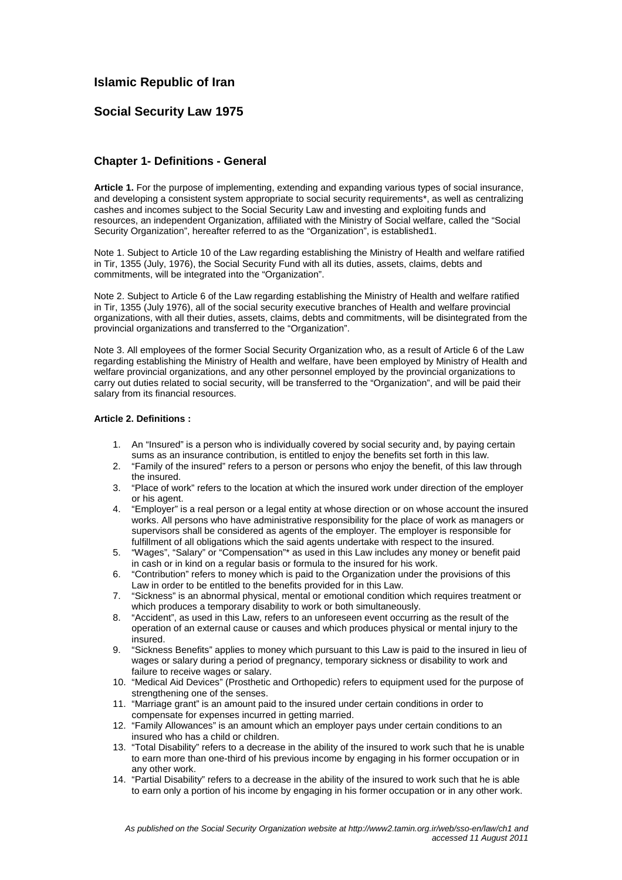# **Islamic Republic of Iran**

# **Social Security Law 1975**

## **Chapter 1- Definitions - General**

**Article 1.** For the purpose of implementing, extending and expanding various types of social insurance, and developing a consistent system appropriate to social security requirements\*, as well as centralizing cashes and incomes subject to the Social Security Law and investing and exploiting funds and resources, an independent Organization, affiliated with the Ministry of Social welfare, called the "Social Security Organization", hereafter referred to as the "Organization", is established1.

Note 1. Subject to Article 10 of the Law regarding establishing the Ministry of Health and welfare ratified in Tir, 1355 (July, 1976), the Social Security Fund with all its duties, assets, claims, debts and commitments, will be integrated into the "Organization".

Note 2. Subject to Article 6 of the Law regarding establishing the Ministry of Health and welfare ratified in Tir, 1355 (July 1976), all of the social security executive branches of Health and welfare provincial organizations, with all their duties, assets, claims, debts and commitments, will be disintegrated from the provincial organizations and transferred to the "Organization".

Note 3. All employees of the former Social Security Organization who, as a result of Article 6 of the Law regarding establishing the Ministry of Health and welfare, have been employed by Ministry of Health and welfare provincial organizations, and any other personnel employed by the provincial organizations to carry out duties related to social security, will be transferred to the "Organization", and will be paid their salary from its financial resources.

#### **Article 2. Definitions :**

- 1. An "Insured" is a person who is individually covered by social security and, by paying certain sums as an insurance contribution, is entitled to enjoy the benefits set forth in this law.
- 2. "Family of the insured" refers to a person or persons who enjoy the benefit, of this law through the insured.
- 3. "Place of work" refers to the location at which the insured work under direction of the employer or his agent.
- 4. "Employer" is a real person or a legal entity at whose direction or on whose account the insured works. All persons who have administrative responsibility for the place of work as managers or supervisors shall be considered as agents of the employer. The employer is responsible for fulfillment of all obligations which the said agents undertake with respect to the insured.
- 5. "Wages", "Salary" or "Compensation"\* as used in this Law includes any money or benefit paid in cash or in kind on a regular basis or formula to the insured for his work.
- 6. "Contribution" refers to money which is paid to the Organization under the provisions of this Law in order to be entitled to the benefits provided for in this Law.
- 7. "Sickness" is an abnormal physical, mental or emotional condition which requires treatment or which produces a temporary disability to work or both simultaneously.
- 8. "Accident", as used in this Law, refers to an unforeseen event occurring as the result of the operation of an external cause or causes and which produces physical or mental injury to the insured.
- 9. "Sickness Benefits" applies to money which pursuant to this Law is paid to the insured in lieu of wages or salary during a period of pregnancy, temporary sickness or disability to work and failure to receive wages or salary.
- 10. "Medical Aid Devices" (Prosthetic and Orthopedic) refers to equipment used for the purpose of strengthening one of the senses.
- 11. "Marriage grant" is an amount paid to the insured under certain conditions in order to compensate for expenses incurred in getting married.
- 12. "Family Allowances" is an amount which an employer pays under certain conditions to an insured who has a child or children.
- 13. "Total Disability" refers to a decrease in the ability of the insured to work such that he is unable to earn more than one-third of his previous income by engaging in his former occupation or in any other work.
- 14. "Partial Disability" refers to a decrease in the ability of the insured to work such that he is able to earn only a portion of his income by engaging in his former occupation or in any other work.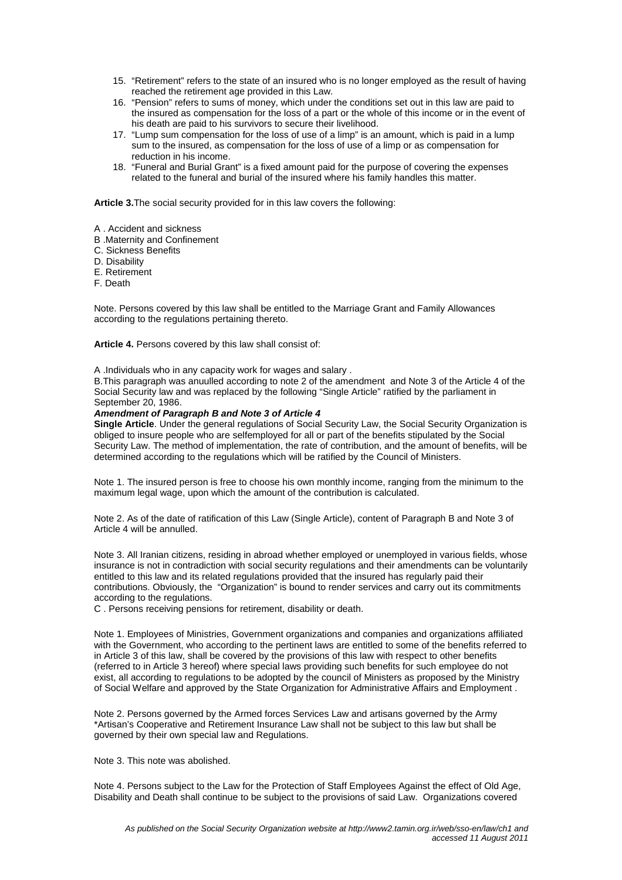- 15. "Retirement" refers to the state of an insured who is no longer employed as the result of having reached the retirement age provided in this Law.
- 16. "Pension" refers to sums of money, which under the conditions set out in this law are paid to the insured as compensation for the loss of a part or the whole of this income or in the event of his death are paid to his survivors to secure their livelihood.
- 17. "Lump sum compensation for the loss of use of a limp" is an amount, which is paid in a lump sum to the insured, as compensation for the loss of use of a limp or as compensation for reduction in his income.
- 18. "Funeral and Burial Grant" is a fixed amount paid for the purpose of covering the expenses related to the funeral and burial of the insured where his family handles this matter.

**Article 3.**The social security provided for in this law covers the following:

- A . Accident and sickness
- B .Maternity and Confinement
- C. Sickness Benefits
- D. Disability
- E. Retirement
- F. Death

Note. Persons covered by this law shall be entitled to the Marriage Grant and Family Allowances according to the regulations pertaining thereto.

**Article 4.** Persons covered by this law shall consist of:

A .Individuals who in any capacity work for wages and salary .

B.This paragraph was anuulled according to note 2 of the amendment and Note 3 of the Article 4 of the Social Security law and was replaced by the following "Single Article" ratified by the parliament in September 20, 1986.

#### **Amendment of Paragraph B and Note 3 of Article 4**

**Single Article**. Under the general regulations of Social Security Law, the Social Security Organization is obliged to insure people who are selfemployed for all or part of the benefits stipulated by the Social Security Law. The method of implementation, the rate of contribution, and the amount of benefits, will be determined according to the regulations which will be ratified by the Council of Ministers.

Note 1. The insured person is free to choose his own monthly income, ranging from the minimum to the maximum legal wage, upon which the amount of the contribution is calculated.

Note 2. As of the date of ratification of this Law (Single Article), content of Paragraph B and Note 3 of Article 4 will be annulled.

Note 3. All Iranian citizens, residing in abroad whether employed or unemployed in various fields, whose insurance is not in contradiction with social security regulations and their amendments can be voluntarily entitled to this law and its related regulations provided that the insured has regularly paid their contributions. Obviously, the "Organization" is bound to render services and carry out its commitments according to the regulations.

C . Persons receiving pensions for retirement, disability or death.

Note 1. Employees of Ministries, Government organizations and companies and organizations affiliated with the Government, who according to the pertinent laws are entitled to some of the benefits referred to in Article 3 of this law, shall be covered by the provisions of this law with respect to other benefits (referred to in Article 3 hereof) where special laws providing such benefits for such employee do not exist, all according to regulations to be adopted by the council of Ministers as proposed by the Ministry of Social Welfare and approved by the State Organization for Administrative Affairs and Employment .

Note 2. Persons governed by the Armed forces Services Law and artisans governed by the Army \*Artisan's Cooperative and Retirement Insurance Law shall not be subject to this law but shall be governed by their own special law and Regulations.

Note 3. This note was abolished.

Note 4. Persons subject to the Law for the Protection of Staff Employees Against the effect of Old Age, Disability and Death shall continue to be subject to the provisions of said Law. Organizations covered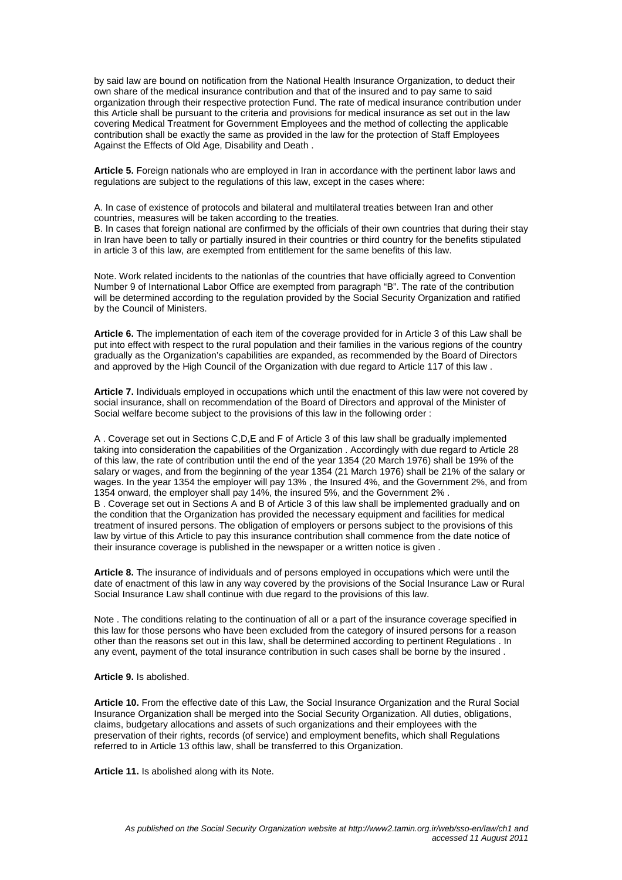by said law are bound on notification from the National Health Insurance Organization, to deduct their own share of the medical insurance contribution and that of the insured and to pay same to said organization through their respective protection Fund. The rate of medical insurance contribution under this Article shall be pursuant to the criteria and provisions for medical insurance as set out in the law covering Medical Treatment for Government Employees and the method of collecting the applicable contribution shall be exactly the same as provided in the law for the protection of Staff Employees Against the Effects of Old Age, Disability and Death .

**Article 5.** Foreign nationals who are employed in Iran in accordance with the pertinent labor laws and regulations are subject to the regulations of this law, except in the cases where:

A. In case of existence of protocols and bilateral and multilateral treaties between Iran and other countries, measures will be taken according to the treaties.

B. In cases that foreign national are confirmed by the officials of their own countries that during their stay in Iran have been to tally or partially insured in their countries or third country for the benefits stipulated in article 3 of this law, are exempted from entitlement for the same benefits of this law.

Note. Work related incidents to the nationlas of the countries that have officially agreed to Convention Number 9 of International Labor Office are exempted from paragraph "B". The rate of the contribution will be determined according to the regulation provided by the Social Security Organization and ratified by the Council of Ministers.

**Article 6.** The implementation of each item of the coverage provided for in Article 3 of this Law shall be put into effect with respect to the rural population and their families in the various regions of the country gradually as the Organization's capabilities are expanded, as recommended by the Board of Directors and approved by the High Council of the Organization with due regard to Article 117 of this law .

**Article 7.** Individuals employed in occupations which until the enactment of this law were not covered by social insurance, shall on recommendation of the Board of Directors and approval of the Minister of Social welfare become subject to the provisions of this law in the following order :

A . Coverage set out in Sections C,D,E and F of Article 3 of this law shall be gradually implemented taking into consideration the capabilities of the Organization . Accordingly with due regard to Article 28 of this law, the rate of contribution until the end of the year 1354 (20 March 1976) shall be 19% of the salary or wages, and from the beginning of the year 1354 (21 March 1976) shall be 21% of the salary or wages. In the year 1354 the employer will pay 13% , the Insured 4%, and the Government 2%, and from 1354 onward, the employer shall pay 14%, the insured 5%, and the Government 2% . B . Coverage set out in Sections A and B of Article 3 of this law shall be implemented gradually and on the condition that the Organization has provided the necessary equipment and facilities for medical treatment of insured persons. The obligation of employers or persons subject to the provisions of this law by virtue of this Article to pay this insurance contribution shall commence from the date notice of their insurance coverage is published in the newspaper or a written notice is given .

**Article 8.** The insurance of individuals and of persons employed in occupations which were until the date of enactment of this law in any way covered by the provisions of the Social Insurance Law or Rural Social Insurance Law shall continue with due regard to the provisions of this law.

Note . The conditions relating to the continuation of all or a part of the insurance coverage specified in this law for those persons who have been excluded from the category of insured persons for a reason other than the reasons set out in this law, shall be determined according to pertinent Regulations . In any event, payment of the total insurance contribution in such cases shall be borne by the insured .

#### **Article 9.** Is abolished.

**Article 10.** From the effective date of this Law, the Social Insurance Organization and the Rural Social Insurance Organization shall be merged into the Social Security Organization. All duties, obligations, claims, budgetary allocations and assets of such organizations and their employees with the preservation of their rights, records (of service) and employment benefits, which shall Regulations referred to in Article 13 ofthis law, shall be transferred to this Organization.

**Article 11.** Is abolished along with its Note.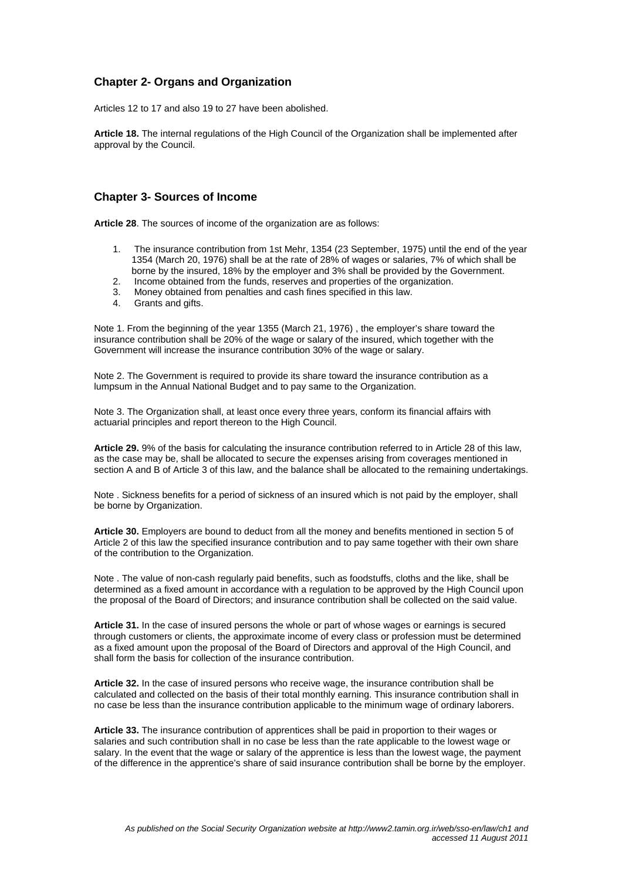# **Chapter 2- Organs and Organization**

Articles 12 to 17 and also 19 to 27 have been abolished.

**Article 18.** The internal regulations of the High Council of the Organization shall be implemented after approval by the Council.

#### **Chapter 3- Sources of Income**

**Article 28**. The sources of income of the organization are as follows:

- 1. The insurance contribution from 1st Mehr, 1354 (23 September, 1975) until the end of the year 1354 (March 20, 1976) shall be at the rate of 28% of wages or salaries, 7% of which shall be borne by the insured, 18% by the employer and 3% shall be provided by the Government.
- 2. Income obtained from the funds, reserves and properties of the organization.
- 3. Money obtained from penalties and cash fines specified in this law.
- 4. Grants and gifts.

Note 1. From the beginning of the year 1355 (March 21, 1976) , the employer's share toward the insurance contribution shall be 20% of the wage or salary of the insured, which together with the Government will increase the insurance contribution 30% of the wage or salary.

Note 2. The Government is required to provide its share toward the insurance contribution as a lumpsum in the Annual National Budget and to pay same to the Organization.

Note 3. The Organization shall, at least once every three years, conform its financial affairs with actuarial principles and report thereon to the High Council.

**Article 29.** 9% of the basis for calculating the insurance contribution referred to in Article 28 of this law, as the case may be, shall be allocated to secure the expenses arising from coverages mentioned in section A and B of Article 3 of this law, and the balance shall be allocated to the remaining undertakings.

Note . Sickness benefits for a period of sickness of an insured which is not paid by the employer, shall be borne by Organization.

**Article 30.** Employers are bound to deduct from all the money and benefits mentioned in section 5 of Article 2 of this law the specified insurance contribution and to pay same together with their own share of the contribution to the Organization.

Note . The value of non-cash regularly paid benefits, such as foodstuffs, cloths and the like, shall be determined as a fixed amount in accordance with a regulation to be approved by the High Council upon the proposal of the Board of Directors; and insurance contribution shall be collected on the said value.

**Article 31.** In the case of insured persons the whole or part of whose wages or earnings is secured through customers or clients, the approximate income of every class or profession must be determined as a fixed amount upon the proposal of the Board of Directors and approval of the High Council, and shall form the basis for collection of the insurance contribution.

**Article 32.** In the case of insured persons who receive wage, the insurance contribution shall be calculated and collected on the basis of their total monthly earning. This insurance contribution shall in no case be less than the insurance contribution applicable to the minimum wage of ordinary laborers.

**Article 33.** The insurance contribution of apprentices shall be paid in proportion to their wages or salaries and such contribution shall in no case be less than the rate applicable to the lowest wage or salary. In the event that the wage or salary of the apprentice is less than the lowest wage, the payment of the difference in the apprentice's share of said insurance contribution shall be borne by the employer.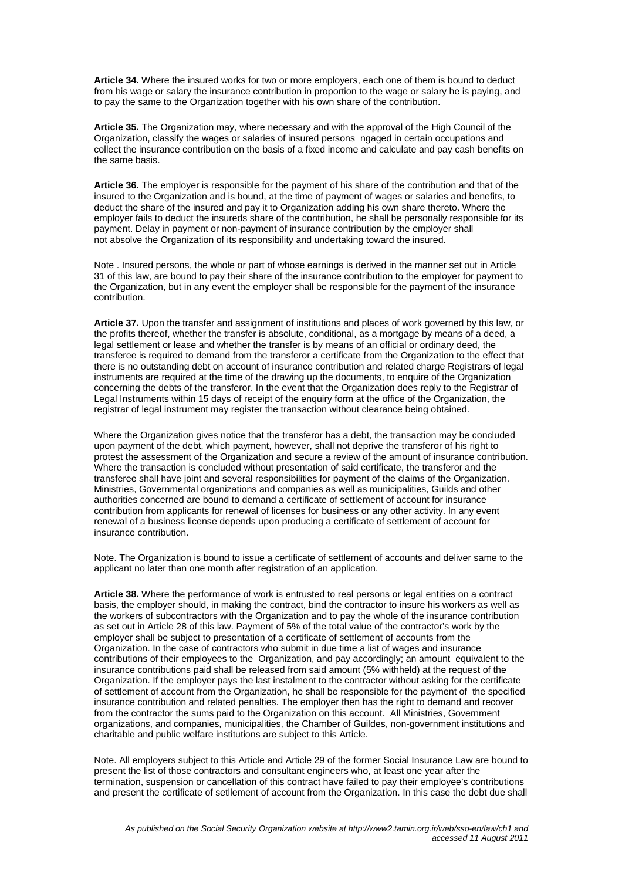**Article 34.** Where the insured works for two or more employers, each one of them is bound to deduct from his wage or salary the insurance contribution in proportion to the wage or salary he is paying, and to pay the same to the Organization together with his own share of the contribution.

**Article 35.** The Organization may, where necessary and with the approval of the High Council of the Organization, classify the wages or salaries of insured persons ngaged in certain occupations and collect the insurance contribution on the basis of a fixed income and calculate and pay cash benefits on the same basis.

**Article 36.** The employer is responsible for the payment of his share of the contribution and that of the insured to the Organization and is bound, at the time of payment of wages or salaries and benefits, to deduct the share of the insured and pay it to Organization adding his own share thereto. Where the employer fails to deduct the insureds share of the contribution, he shall be personally responsible for its payment. Delay in payment or non-payment of insurance contribution by the employer shall not absolve the Organization of its responsibility and undertaking toward the insured.

Note . Insured persons, the whole or part of whose earnings is derived in the manner set out in Article 31 of this law, are bound to pay their share of the insurance contribution to the employer for payment to the Organization, but in any event the employer shall be responsible for the payment of the insurance contribution.

**Article 37.** Upon the transfer and assignment of institutions and places of work governed by this law, or the profits thereof, whether the transfer is absolute, conditional, as a mortgage by means of a deed, a legal settlement or lease and whether the transfer is by means of an official or ordinary deed, the transferee is required to demand from the transferor a certificate from the Organization to the effect that there is no outstanding debt on account of insurance contribution and related charge Registrars of legal instruments are required at the time of the drawing up the documents, to enquire of the Organization concerning the debts of the transferor. In the event that the Organization does reply to the Registrar of Legal Instruments within 15 days of receipt of the enquiry form at the office of the Organization, the registrar of legal instrument may register the transaction without clearance being obtained.

Where the Organization gives notice that the transferor has a debt, the transaction may be concluded upon payment of the debt, which payment, however, shall not deprive the transferor of his right to protest the assessment of the Organization and secure a review of the amount of insurance contribution. Where the transaction is concluded without presentation of said certificate, the transferor and the transferee shall have joint and several responsibilities for payment of the claims of the Organization. Ministries, Governmental organizations and companies as well as municipalities, Guilds and other authorities concerned are bound to demand a certificate of settlement of account for insurance contribution from applicants for renewal of licenses for business or any other activity. In any event renewal of a business license depends upon producing a certificate of settlement of account for insurance contribution.

Note. The Organization is bound to issue a certificate of settlement of accounts and deliver same to the applicant no later than one month after registration of an application.

**Article 38.** Where the performance of work is entrusted to real persons or legal entities on a contract basis, the employer should, in making the contract, bind the contractor to insure his workers as well as the workers of subcontractors with the Organization and to pay the whole of the insurance contribution as set out in Article 28 of this law. Payment of 5% of the total value of the contractor's work by the employer shall be subject to presentation of a certificate of settlement of accounts from the Organization. In the case of contractors who submit in due time a list of wages and insurance contributions of their employees to the Organization, and pay accordingly; an amount equivalent to the insurance contributions paid shall be released from said amount (5% withheld) at the request of the Organization. If the employer pays the last instalment to the contractor without asking for the certificate of settlement of account from the Organization, he shall be responsible for the payment of the specified insurance contribution and related penalties. The employer then has the right to demand and recover from the contractor the sums paid to the Organization on this account. All Ministries, Government organizations, and companies, municipalities, the Chamber of Guildes, non-government institutions and charitable and public welfare institutions are subject to this Article.

Note. All employers subject to this Article and Article 29 of the former Social Insurance Law are bound to present the list of those contractors and consultant engineers who, at least one year after the termination, suspension or cancellation of this contract have failed to pay their employee's contributions and present the certificate of setllement of account from the Organization. In this case the debt due shall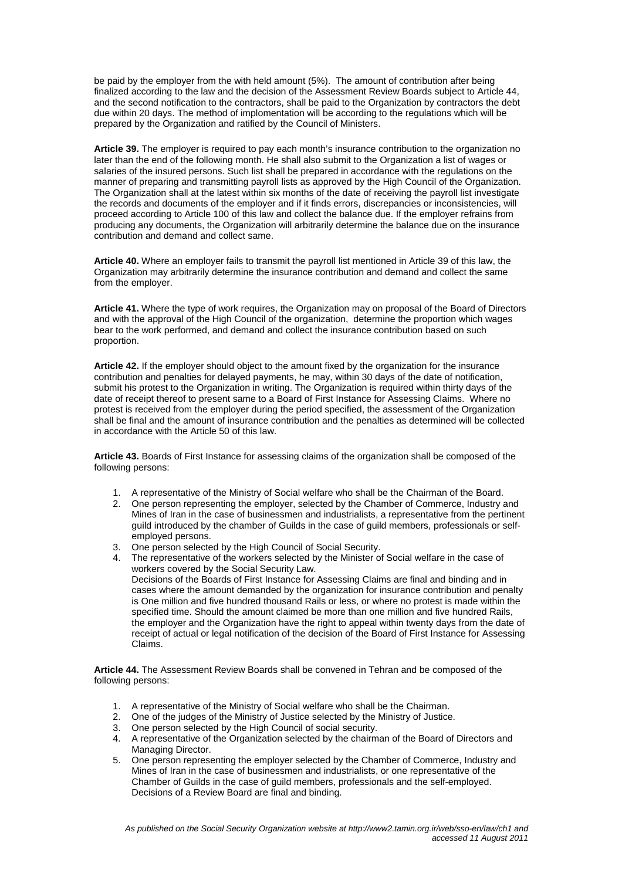be paid by the employer from the with held amount (5%). The amount of contribution after being finalized according to the law and the decision of the Assessment Review Boards subject to Article 44, and the second notification to the contractors, shall be paid to the Organization by contractors the debt due within 20 days. The method of implomentation will be according to the regulations which will be prepared by the Organization and ratified by the Council of Ministers.

**Article 39.** The employer is required to pay each month's insurance contribution to the organization no later than the end of the following month. He shall also submit to the Organization a list of wages or salaries of the insured persons. Such list shall be prepared in accordance with the regulations on the manner of preparing and transmitting payroll lists as approved by the High Council of the Organization. The Organization shall at the latest within six months of the date of receiving the payroll list investigate the records and documents of the employer and if it finds errors, discrepancies or inconsistencies, will proceed according to Article 100 of this law and collect the balance due. If the employer refrains from producing any documents, the Organization will arbitrarily determine the balance due on the insurance contribution and demand and collect same.

**Article 40.** Where an employer fails to transmit the payroll list mentioned in Article 39 of this law, the Organization may arbitrarily determine the insurance contribution and demand and collect the same from the employer.

**Article 41.** Where the type of work requires, the Organization may on proposal of the Board of Directors and with the approval of the High Council of the organization, determine the proportion which wages bear to the work performed, and demand and collect the insurance contribution based on such proportion.

**Article 42.** If the employer should object to the amount fixed by the organization for the insurance contribution and penalties for delayed payments, he may, within 30 days of the date of notification, submit his protest to the Organization in writing. The Organization is required within thirty days of the date of receipt thereof to present same to a Board of First Instance for Assessing Claims. Where no protest is received from the employer during the period specified, the assessment of the Organization shall be final and the amount of insurance contribution and the penalties as determined will be collected in accordance with the Article 50 of this law.

**Article 43.** Boards of First Instance for assessing claims of the organization shall be composed of the following persons:

- 1. A representative of the Ministry of Social welfare who shall be the Chairman of the Board.
- 2. One person representing the employer, selected by the Chamber of Commerce, Industry and Mines of Iran in the case of businessmen and industrialists, a representative from the pertinent guild introduced by the chamber of Guilds in the case of guild members, professionals or selfemployed persons.
- 3. One person selected by the High Council of Social Security.
- 4. The representative of the workers selected by the Minister of Social welfare in the case of workers covered by the Social Security Law.

Decisions of the Boards of First Instance for Assessing Claims are final and binding and in cases where the amount demanded by the organization for insurance contribution and penalty is One million and five hundred thousand Rails or less, or where no protest is made within the specified time. Should the amount claimed be more than one million and five hundred Rails, the employer and the Organization have the right to appeal within twenty days from the date of receipt of actual or legal notification of the decision of the Board of First Instance for Assessing Claims.

**Article 44.** The Assessment Review Boards shall be convened in Tehran and be composed of the following persons:

- 1. A representative of the Ministry of Social welfare who shall be the Chairman.
- 2. One of the judges of the Ministry of Justice selected by the Ministry of Justice.
- 
- 3. One person selected by the High Council of social security.<br>4. A representative of the Organization selected by the chairm 4. A representative of the Organization selected by the chairman of the Board of Directors and Managing Director.
- 5. One person representing the employer selected by the Chamber of Commerce, Industry and Mines of Iran in the case of businessmen and industrialists, or one representative of the Chamber of Guilds in the case of guild members, professionals and the self-employed. Decisions of a Review Board are final and binding.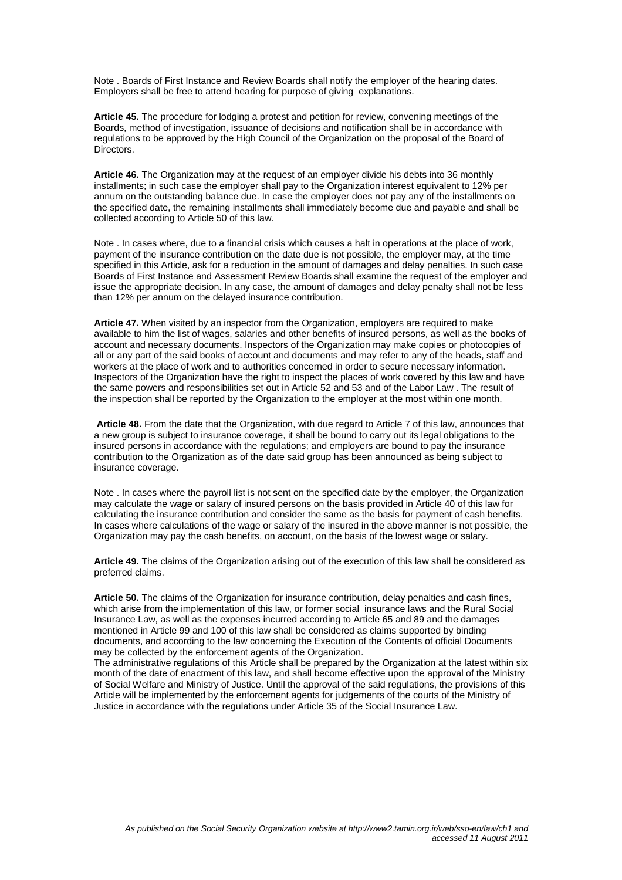Note . Boards of First Instance and Review Boards shall notify the employer of the hearing dates. Employers shall be free to attend hearing for purpose of giving explanations.

**Article 45.** The procedure for lodging a protest and petition for review, convening meetings of the Boards, method of investigation, issuance of decisions and notification shall be in accordance with regulations to be approved by the High Council of the Organization on the proposal of the Board of Directors.

**Article 46.** The Organization may at the request of an employer divide his debts into 36 monthly installments; in such case the employer shall pay to the Organization interest equivalent to 12% per annum on the outstanding balance due. In case the employer does not pay any of the installments on the specified date, the remaining installments shall immediately become due and payable and shall be collected according to Article 50 of this law.

Note . In cases where, due to a financial crisis which causes a halt in operations at the place of work, payment of the insurance contribution on the date due is not possible, the employer may, at the time specified in this Article, ask for a reduction in the amount of damages and delay penalties. In such case Boards of First Instance and Assessment Review Boards shall examine the request of the employer and issue the appropriate decision. In any case, the amount of damages and delay penalty shall not be less than 12% per annum on the delayed insurance contribution.

**Article 47.** When visited by an inspector from the Organization, employers are required to make available to him the list of wages, salaries and other benefits of insured persons, as well as the books of account and necessary documents. Inspectors of the Organization may make copies or photocopies of all or any part of the said books of account and documents and may refer to any of the heads, staff and workers at the place of work and to authorities concerned in order to secure necessary information. Inspectors of the Organization have the right to inspect the places of work covered by this law and have the same powers and responsibilities set out in Article 52 and 53 and of the Labor Law . The result of the inspection shall be reported by the Organization to the employer at the most within one month.

**Article 48.** From the date that the Organization, with due regard to Article 7 of this law, announces that a new group is subject to insurance coverage, it shall be bound to carry out its legal obligations to the insured persons in accordance with the regulations; and employers are bound to pay the insurance contribution to the Organization as of the date said group has been announced as being subject to insurance coverage.

Note . In cases where the payroll list is not sent on the specified date by the employer, the Organization may calculate the wage or salary of insured persons on the basis provided in Article 40 of this law for calculating the insurance contribution and consider the same as the basis for payment of cash benefits. In cases where calculations of the wage or salary of the insured in the above manner is not possible, the Organization may pay the cash benefits, on account, on the basis of the lowest wage or salary.

**Article 49.** The claims of the Organization arising out of the execution of this law shall be considered as preferred claims.

**Article 50.** The claims of the Organization for insurance contribution, delay penalties and cash fines, which arise from the implementation of this law, or former social insurance laws and the Rural Social Insurance Law, as well as the expenses incurred according to Article 65 and 89 and the damages mentioned in Article 99 and 100 of this law shall be considered as claims supported by binding documents, and according to the law concerning the Execution of the Contents of official Documents may be collected by the enforcement agents of the Organization.

The administrative regulations of this Article shall be prepared by the Organization at the latest within six month of the date of enactment of this law, and shall become effective upon the approval of the Ministry of Social Welfare and Ministry of Justice. Until the approval of the said regulations, the provisions of this Article will be implemented by the enforcement agents for judgements of the courts of the Ministry of Justice in accordance with the regulations under Article 35 of the Social Insurance Law.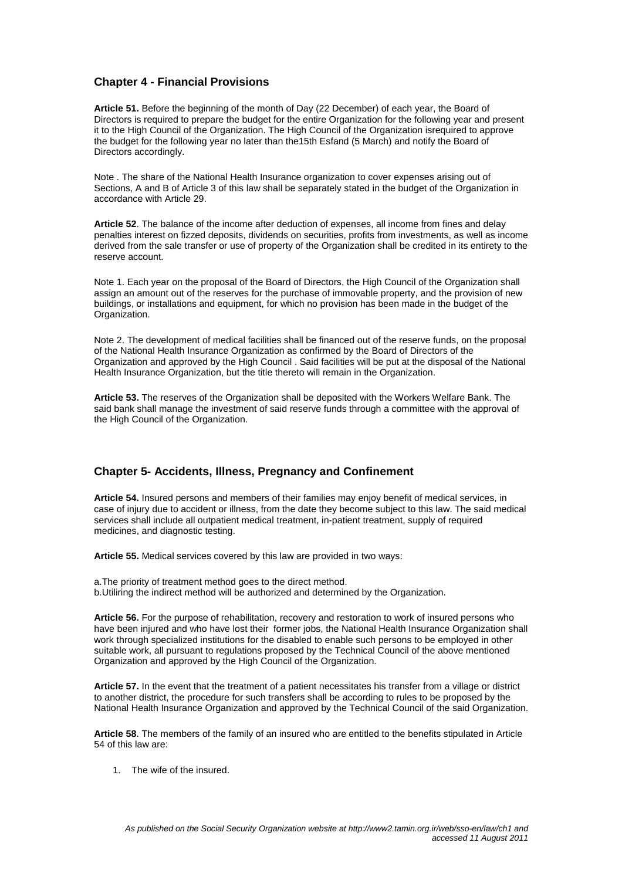## **Chapter 4 - Financial Provisions**

**Article 51.** Before the beginning of the month of Day (22 December) of each year, the Board of Directors is required to prepare the budget for the entire Organization for the following year and present it to the High Council of the Organization. The High Council of the Organization isrequired to approve the budget for the following year no later than the15th Esfand (5 March) and notify the Board of Directors accordingly.

Note . The share of the National Health Insurance organization to cover expenses arising out of Sections, A and B of Article 3 of this law shall be separately stated in the budget of the Organization in accordance with Article 29.

**Article 52**. The balance of the income after deduction of expenses, all income from fines and delay penalties interest on fizzed deposits, dividends on securities, profits from investments, as well as income derived from the sale transfer or use of property of the Organization shall be credited in its entirety to the reserve account.

Note 1. Each year on the proposal of the Board of Directors, the High Council of the Organization shall assign an amount out of the reserves for the purchase of immovable property, and the provision of new buildings, or installations and equipment, for which no provision has been made in the budget of the Organization.

Note 2. The development of medical facilities shall be financed out of the reserve funds, on the proposal of the National Health Insurance Organization as confirmed by the Board of Directors of the Organization and approved by the High Council . Said facilities will be put at the disposal of the National Health Insurance Organization, but the title thereto will remain in the Organization.

**Article 53.** The reserves of the Organization shall be deposited with the Workers Welfare Bank. The said bank shall manage the investment of said reserve funds through a committee with the approval of the High Council of the Organization.

## **Chapter 5- Accidents, Illness, Pregnancy and Confinement**

**Article 54.** Insured persons and members of their families may enjoy benefit of medical services, in case of injury due to accident or illness, from the date they become subject to this law. The said medical services shall include all outpatient medical treatment, in-patient treatment, supply of required medicines, and diagnostic testing.

**Article 55.** Medical services covered by this law are provided in two ways:

a.The priority of treatment method goes to the direct method. b.Utiliring the indirect method will be authorized and determined by the Organization.

**Article 56.** For the purpose of rehabilitation, recovery and restoration to work of insured persons who have been injured and who have lost their former jobs, the National Health Insurance Organization shall work through specialized institutions for the disabled to enable such persons to be employed in other suitable work, all pursuant to regulations proposed by the Technical Council of the above mentioned Organization and approved by the High Council of the Organization.

**Article 57.** In the event that the treatment of a patient necessitates his transfer from a village or district to another district, the procedure for such transfers shall be according to rules to be proposed by the National Health Insurance Organization and approved by the Technical Council of the said Organization.

**Article 58**. The members of the family of an insured who are entitled to the benefits stipulated in Article 54 of this law are:

1. The wife of the insured.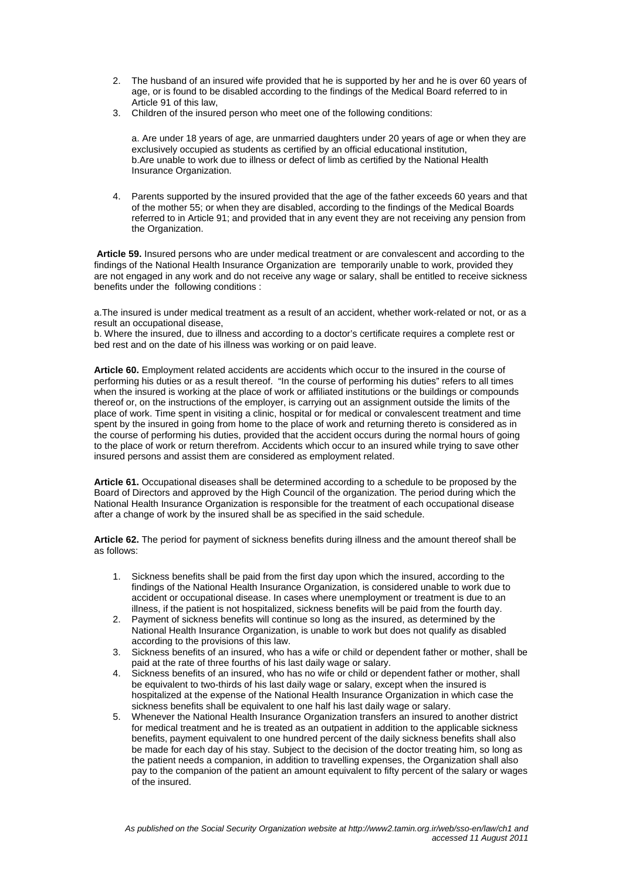- 2. The husband of an insured wife provided that he is supported by her and he is over 60 years of age, or is found to be disabled according to the findings of the Medical Board referred to in Article 91 of this law,
- 3. Children of the insured person who meet one of the following conditions:

a. Are under 18 years of age, are unmarried daughters under 20 years of age or when they are exclusively occupied as students as certified by an official educational institution, b.Are unable to work due to illness or defect of limb as certified by the National Health Insurance Organization.

4. Parents supported by the insured provided that the age of the father exceeds 60 years and that of the mother 55; or when they are disabled, according to the findings of the Medical Boards referred to in Article 91; and provided that in any event they are not receiving any pension from the Organization.

 **Article 59.** Insured persons who are under medical treatment or are convalescent and according to the findings of the National Health Insurance Organization are temporarily unable to work, provided they are not engaged in any work and do not receive any wage or salary, shall be entitled to receive sickness benefits under the following conditions :

a.The insured is under medical treatment as a result of an accident, whether work-related or not, or as a result an occupational disease,

b. Where the insured, due to illness and according to a doctor's certificate requires a complete rest or bed rest and on the date of his illness was working or on paid leave.

**Article 60.** Employment related accidents are accidents which occur to the insured in the course of performing his duties or as a result thereof. "In the course of performing his duties" refers to all times when the insured is working at the place of work or affiliated institutions or the buildings or compounds thereof or, on the instructions of the employer, is carrying out an assignment outside the limits of the place of work. Time spent in visiting a clinic, hospital or for medical or convalescent treatment and time spent by the insured in going from home to the place of work and returning thereto is considered as in the course of performing his duties, provided that the accident occurs during the normal hours of going to the place of work or return therefrom. Accidents which occur to an insured while trying to save other insured persons and assist them are considered as employment related.

**Article 61.** Occupational diseases shall be determined according to a schedule to be proposed by the Board of Directors and approved by the High Council of the organization. The period during which the National Health Insurance Organization is responsible for the treatment of each occupational disease after a change of work by the insured shall be as specified in the said schedule.

**Article 62.** The period for payment of sickness benefits during illness and the amount thereof shall be as follows:

- 1. Sickness benefits shall be paid from the first day upon which the insured, according to the findings of the National Health Insurance Organization, is considered unable to work due to accident or occupational disease. In cases where unemployment or treatment is due to an illness, if the patient is not hospitalized, sickness benefits will be paid from the fourth day.
- 2. Payment of sickness benefits will continue so long as the insured, as determined by the National Health Insurance Organization, is unable to work but does not qualify as disabled according to the provisions of this law.
- 3. Sickness benefits of an insured, who has a wife or child or dependent father or mother, shall be paid at the rate of three fourths of his last daily wage or salary.
- 4. Sickness benefits of an insured, who has no wife or child or dependent father or mother, shall be equivalent to two-thirds of his last daily wage or salary, except when the insured is hospitalized at the expense of the National Health Insurance Organization in which case the sickness benefits shall be equivalent to one half his last daily wage or salary.
- 5. Whenever the National Health Insurance Organization transfers an insured to another district for medical treatment and he is treated as an outpatient in addition to the applicable sickness benefits, payment equivalent to one hundred percent of the daily sickness benefits shall also be made for each day of his stay. Subject to the decision of the doctor treating him, so long as the patient needs a companion, in addition to travelling expenses, the Organization shall also pay to the companion of the patient an amount equivalent to fifty percent of the salary or wages of the insured.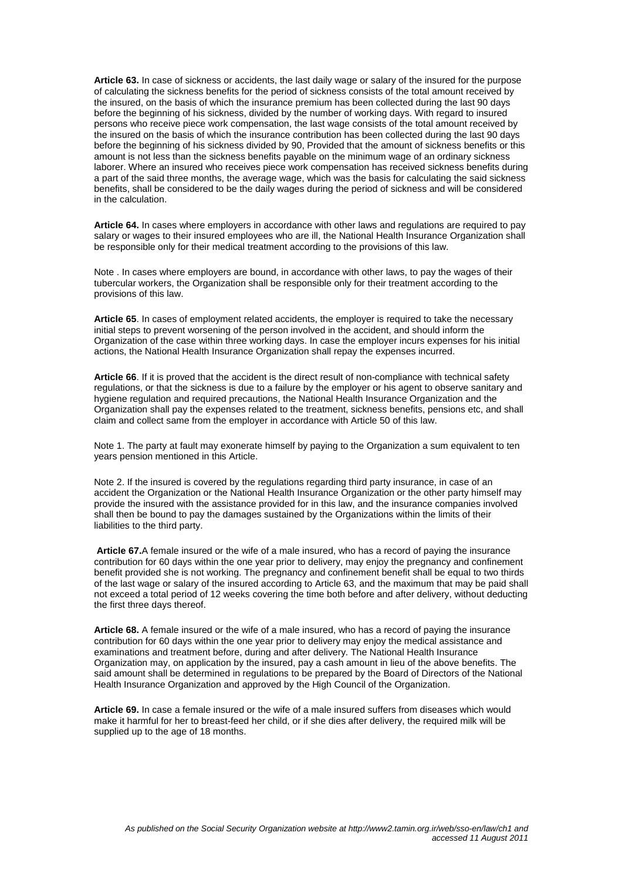**Article 63.** In case of sickness or accidents, the last daily wage or salary of the insured for the purpose of calculating the sickness benefits for the period of sickness consists of the total amount received by the insured, on the basis of which the insurance premium has been collected during the last 90 days before the beginning of his sickness, divided by the number of working days. With regard to insured persons who receive piece work compensation, the last wage consists of the total amount received by the insured on the basis of which the insurance contribution has been collected during the last 90 days before the beginning of his sickness divided by 90, Provided that the amount of sickness benefits or this amount is not less than the sickness benefits payable on the minimum wage of an ordinary sickness laborer. Where an insured who receives piece work compensation has received sickness benefits during a part of the said three months, the average wage, which was the basis for calculating the said sickness benefits, shall be considered to be the daily wages during the period of sickness and will be considered in the calculation.

**Article 64.** In cases where employers in accordance with other laws and regulations are required to pay salary or wages to their insured employees who are ill, the National Health Insurance Organization shall be responsible only for their medical treatment according to the provisions of this law.

Note . In cases where employers are bound, in accordance with other laws, to pay the wages of their tubercular workers, the Organization shall be responsible only for their treatment according to the provisions of this law.

**Article 65**. In cases of employment related accidents, the employer is required to take the necessary initial steps to prevent worsening of the person involved in the accident, and should inform the Organization of the case within three working days. In case the employer incurs expenses for his initial actions, the National Health Insurance Organization shall repay the expenses incurred.

**Article 66**. If it is proved that the accident is the direct result of non-compliance with technical safety regulations, or that the sickness is due to a failure by the employer or his agent to observe sanitary and hygiene regulation and required precautions, the National Health Insurance Organization and the Organization shall pay the expenses related to the treatment, sickness benefits, pensions etc, and shall claim and collect same from the employer in accordance with Article 50 of this law.

Note 1. The party at fault may exonerate himself by paying to the Organization a sum equivalent to ten years pension mentioned in this Article.

Note 2. If the insured is covered by the regulations regarding third party insurance, in case of an accident the Organization or the National Health Insurance Organization or the other party himself may provide the insured with the assistance provided for in this law, and the insurance companies involved shall then be bound to pay the damages sustained by the Organizations within the limits of their liabilities to the third party.

 **Article 67.**A female insured or the wife of a male insured, who has a record of paying the insurance contribution for 60 days within the one year prior to delivery, may enjoy the pregnancy and confinement benefit provided she is not working. The pregnancy and confinement benefit shall be equal to two thirds of the last wage or salary of the insured according to Article 63, and the maximum that may be paid shall not exceed a total period of 12 weeks covering the time both before and after delivery, without deducting the first three days thereof.

**Article 68.** A female insured or the wife of a male insured, who has a record of paying the insurance contribution for 60 days within the one year prior to delivery may enjoy the medical assistance and examinations and treatment before, during and after delivery. The National Health Insurance Organization may, on application by the insured, pay a cash amount in lieu of the above benefits. The said amount shall be determined in regulations to be prepared by the Board of Directors of the National Health Insurance Organization and approved by the High Council of the Organization.

**Article 69.** In case a female insured or the wife of a male insured suffers from diseases which would make it harmful for her to breast-feed her child, or if she dies after delivery, the required milk will be supplied up to the age of 18 months.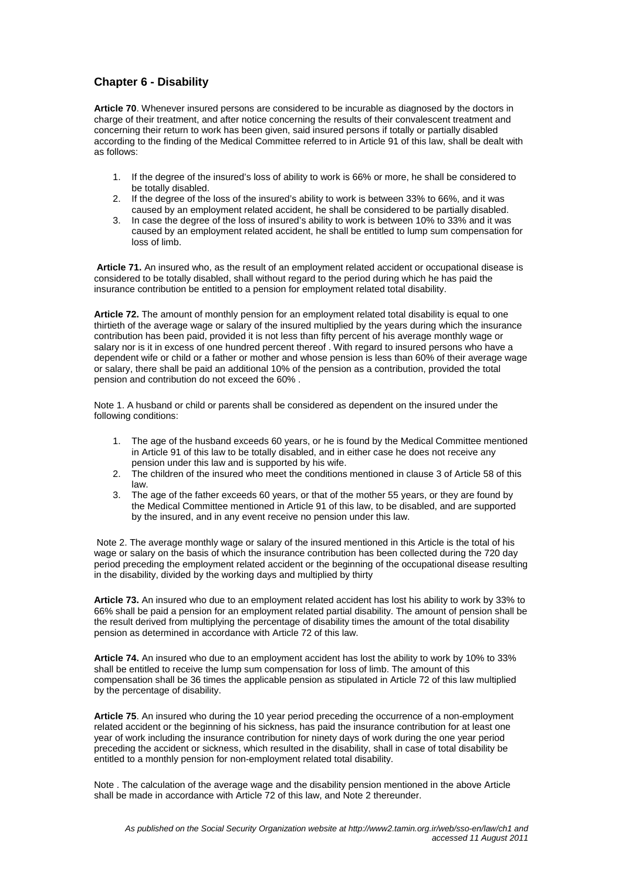## **Chapter 6 - Disability**

**Article 70**. Whenever insured persons are considered to be incurable as diagnosed by the doctors in charge of their treatment, and after notice concerning the results of their convalescent treatment and concerning their return to work has been given, said insured persons if totally or partially disabled according to the finding of the Medical Committee referred to in Article 91 of this law, shall be dealt with as follows:

- 1. If the degree of the insured's loss of ability to work is 66% or more, he shall be considered to be totally disabled.
- 2. If the degree of the loss of the insured's ability to work is between 33% to 66%, and it was caused by an employment related accident, he shall be considered to be partially disabled.
- 3. In case the degree of the loss of insured's ability to work is between 10% to 33% and it was caused by an employment related accident, he shall be entitled to lump sum compensation for loss of limb.

 **Article 71.** An insured who, as the result of an employment related accident or occupational disease is considered to be totally disabled, shall without regard to the period during which he has paid the insurance contribution be entitled to a pension for employment related total disability.

**Article 72.** The amount of monthly pension for an employment related total disability is equal to one thirtieth of the average wage or salary of the insured multiplied by the years during which the insurance contribution has been paid, provided it is not less than fifty percent of his average monthly wage or salary nor is it in excess of one hundred percent thereof . With regard to insured persons who have a dependent wife or child or a father or mother and whose pension is less than 60% of their average wage or salary, there shall be paid an additional 10% of the pension as a contribution, provided the total pension and contribution do not exceed the 60% .

Note 1. A husband or child or parents shall be considered as dependent on the insured under the following conditions:

- 1. The age of the husband exceeds 60 years, or he is found by the Medical Committee mentioned in Article 91 of this law to be totally disabled, and in either case he does not receive any pension under this law and is supported by his wife.
- 2. The children of the insured who meet the conditions mentioned in clause 3 of Article 58 of this law.
- 3. The age of the father exceeds 60 years, or that of the mother 55 years, or they are found by the Medical Committee mentioned in Article 91 of this law, to be disabled, and are supported by the insured, and in any event receive no pension under this law.

 Note 2. The average monthly wage or salary of the insured mentioned in this Article is the total of his wage or salary on the basis of which the insurance contribution has been collected during the 720 day period preceding the employment related accident or the beginning of the occupational disease resulting in the disability, divided by the working days and multiplied by thirty

**Article 73.** An insured who due to an employment related accident has lost his ability to work by 33% to 66% shall be paid a pension for an employment related partial disability. The amount of pension shall be the result derived from multiplying the percentage of disability times the amount of the total disability pension as determined in accordance with Article 72 of this law.

**Article 74.** An insured who due to an employment accident has lost the ability to work by 10% to 33% shall be entitled to receive the lump sum compensation for loss of limb. The amount of this compensation shall be 36 times the applicable pension as stipulated in Article 72 of this law multiplied by the percentage of disability.

**Article 75**. An insured who during the 10 year period preceding the occurrence of a non-employment related accident or the beginning of his sickness, has paid the insurance contribution for at least one year of work including the insurance contribution for ninety days of work during the one year period preceding the accident or sickness, which resulted in the disability, shall in case of total disability be entitled to a monthly pension for non-employment related total disability.

Note . The calculation of the average wage and the disability pension mentioned in the above Article shall be made in accordance with Article 72 of this law, and Note 2 thereunder.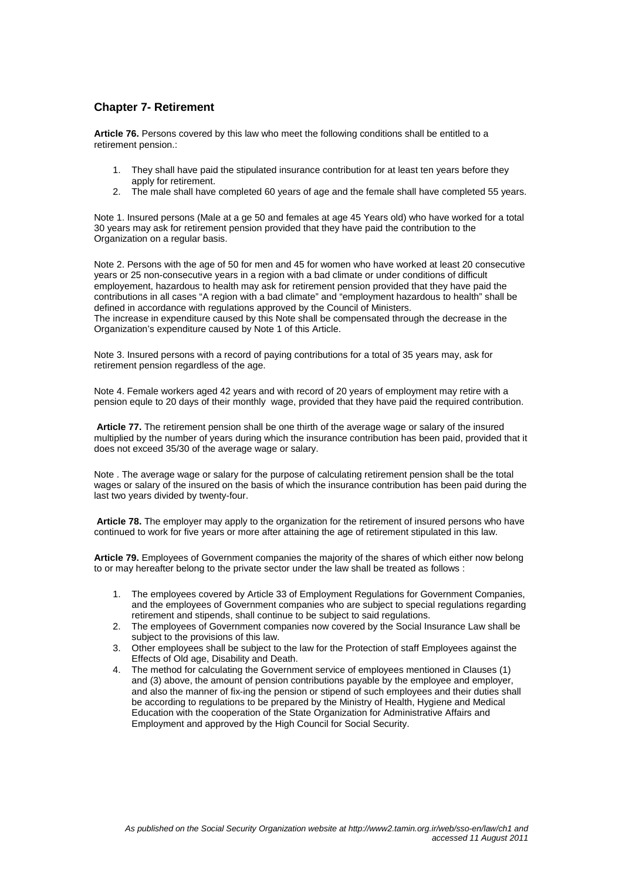## **Chapter 7- Retirement**

**Article 76.** Persons covered by this law who meet the following conditions shall be entitled to a retirement pension.:

- 1. They shall have paid the stipulated insurance contribution for at least ten years before they apply for retirement.
- 2. The male shall have completed 60 years of age and the female shall have completed 55 years.

Note 1. Insured persons (Male at a ge 50 and females at age 45 Years old) who have worked for a total 30 years may ask for retirement pension provided that they have paid the contribution to the Organization on a regular basis.

Note 2. Persons with the age of 50 for men and 45 for women who have worked at least 20 consecutive years or 25 non-consecutive years in a region with a bad climate or under conditions of difficult employement, hazardous to health may ask for retirement pension provided that they have paid the contributions in all cases "A region with a bad climate" and "employment hazardous to health" shall be defined in accordance with regulations approved by the Council of Ministers.

The increase in expenditure caused by this Note shall be compensated through the decrease in the Organization's expenditure caused by Note 1 of this Article.

Note 3. Insured persons with a record of paying contributions for a total of 35 years may, ask for retirement pension regardless of the age.

Note 4. Female workers aged 42 years and with record of 20 years of employment may retire with a pension equle to 20 days of their monthly wage, provided that they have paid the required contribution.

**Article 77.** The retirement pension shall be one thirth of the average wage or salary of the insured multiplied by the number of years during which the insurance contribution has been paid, provided that it does not exceed 35/30 of the average wage or salary.

Note . The average wage or salary for the purpose of calculating retirement pension shall be the total wages or salary of the insured on the basis of which the insurance contribution has been paid during the last two years divided by twenty-four.

 **Article 78.** The employer may apply to the organization for the retirement of insured persons who have continued to work for five years or more after attaining the age of retirement stipulated in this law.

**Article 79.** Employees of Government companies the majority of the shares of which either now belong to or may hereafter belong to the private sector under the law shall be treated as follows :

- 1. The employees covered by Article 33 of Employment Regulations for Government Companies, and the employees of Government companies who are subject to special regulations regarding retirement and stipends, shall continue to be subject to said regulations.
- 2. The employees of Government companies now covered by the Social Insurance Law shall be subject to the provisions of this law.
- 3. Other employees shall be subject to the law for the Protection of staff Employees against the Effects of Old age, Disability and Death.
- 4. The method for calculating the Government service of employees mentioned in Clauses (1) and (3) above, the amount of pension contributions payable by the employee and employer, and also the manner of fix-ing the pension or stipend of such employees and their duties shall be according to regulations to be prepared by the Ministry of Health, Hygiene and Medical Education with the cooperation of the State Organization for Administrative Affairs and Employment and approved by the High Council for Social Security.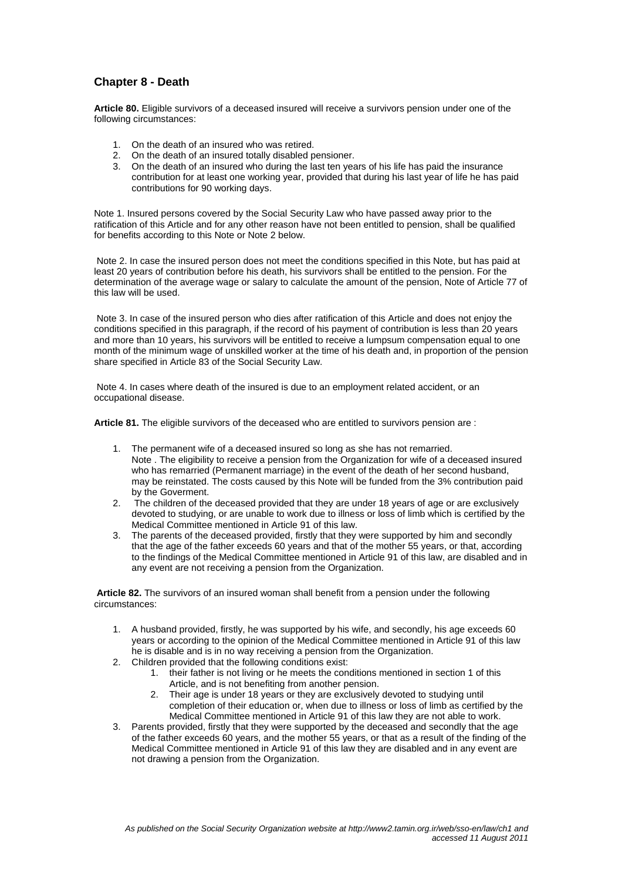# **Chapter 8 - Death**

**Article 80.** Eligible survivors of a deceased insured will receive a survivors pension under one of the following circumstances:

- 1. On the death of an insured who was retired.
- 2. On the death of an insured totally disabled pensioner.
- 3. On the death of an insured who during the last ten years of his life has paid the insurance contribution for at least one working year, provided that during his last year of life he has paid contributions for 90 working days.

Note 1. Insured persons covered by the Social Security Law who have passed away prior to the ratification of this Article and for any other reason have not been entitled to pension, shall be qualified for benefits according to this Note or Note 2 below.

 Note 2. In case the insured person does not meet the conditions specified in this Note, but has paid at least 20 years of contribution before his death, his survivors shall be entitled to the pension. For the determination of the average wage or salary to calculate the amount of the pension, Note of Article 77 of this law will be used.

 Note 3. In case of the insured person who dies after ratification of this Article and does not enjoy the conditions specified in this paragraph, if the record of his payment of contribution is less than 20 years and more than 10 years, his survivors will be entitled to receive a lumpsum compensation equal to one month of the minimum wage of unskilled worker at the time of his death and, in proportion of the pension share specified in Article 83 of the Social Security Law.

 Note 4. In cases where death of the insured is due to an employment related accident, or an occupational disease.

**Article 81.** The eligible survivors of the deceased who are entitled to survivors pension are :

- 1. The permanent wife of a deceased insured so long as she has not remarried. Note . The eligibility to receive a pension from the Organization for wife of a deceased insured who has remarried (Permanent marriage) in the event of the death of her second husband, may be reinstated. The costs caused by this Note will be funded from the 3% contribution paid by the Goverment.
- 2. The children of the deceased provided that they are under 18 years of age or are exclusively devoted to studying, or are unable to work due to illness or loss of limb which is certified by the Medical Committee mentioned in Article 91 of this law.
- 3. The parents of the deceased provided, firstly that they were supported by him and secondly that the age of the father exceeds 60 years and that of the mother 55 years, or that, according to the findings of the Medical Committee mentioned in Article 91 of this law, are disabled and in any event are not receiving a pension from the Organization.

 **Article 82.** The survivors of an insured woman shall benefit from a pension under the following circumstances:

- 1. A husband provided, firstly, he was supported by his wife, and secondly, his age exceeds 60 years or according to the opinion of the Medical Committee mentioned in Article 91 of this law he is disable and is in no way receiving a pension from the Organization.
- 2. Children provided that the following conditions exist:
	- 1. their father is not living or he meets the conditions mentioned in section 1 of this Article, and is not benefiting from another pension.
	- 2. Their age is under 18 years or they are exclusively devoted to studying until completion of their education or, when due to illness or loss of limb as certified by the Medical Committee mentioned in Article 91 of this law they are not able to work.
- 3. Parents provided, firstly that they were supported by the deceased and secondly that the age of the father exceeds 60 years, and the mother 55 years, or that as a result of the finding of the Medical Committee mentioned in Article 91 of this law they are disabled and in any event are not drawing a pension from the Organization.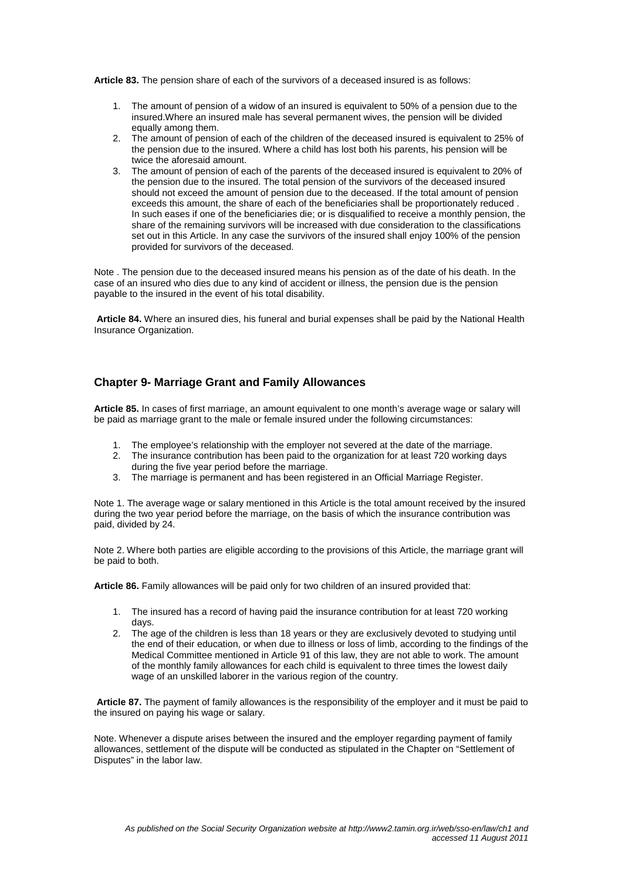**Article 83.** The pension share of each of the survivors of a deceased insured is as follows:

- 1. The amount of pension of a widow of an insured is equivalent to 50% of a pension due to the insured.Where an insured male has several permanent wives, the pension will be divided equally among them.
- 2. The amount of pension of each of the children of the deceased insured is equivalent to 25% of the pension due to the insured. Where a child has lost both his parents, his pension will be twice the aforesaid amount.
- 3. The amount of pension of each of the parents of the deceased insured is equivalent to 20% of the pension due to the insured. The total pension of the survivors of the deceased insured should not exceed the amount of pension due to the deceased. If the total amount of pension exceeds this amount, the share of each of the beneficiaries shall be proportionately reduced . In such eases if one of the beneficiaries die; or is disqualified to receive a monthly pension, the share of the remaining survivors will be increased with due consideration to the classifications set out in this Article. In any case the survivors of the insured shall enjoy 100% of the pension provided for survivors of the deceased.

Note . The pension due to the deceased insured means his pension as of the date of his death. In the case of an insured who dies due to any kind of accident or illness, the pension due is the pension payable to the insured in the event of his total disability.

 **Article 84.** Where an insured dies, his funeral and burial expenses shall be paid by the National Health Insurance Organization.

## **Chapter 9- Marriage Grant and Family Allowances**

**Article 85.** In cases of first marriage, an amount equivalent to one month's average wage or salary will be paid as marriage grant to the male or female insured under the following circumstances:

- 1. The employee's relationship with the employer not severed at the date of the marriage.
- 2. The insurance contribution has been paid to the organization for at least 720 working days during the five year period before the marriage.
- 3. The marriage is permanent and has been registered in an Official Marriage Register.

Note 1. The average wage or salary mentioned in this Article is the total amount received by the insured during the two year period before the marriage, on the basis of which the insurance contribution was paid, divided by 24.

Note 2. Where both parties are eligible according to the provisions of this Article, the marriage grant will be paid to both.

**Article 86.** Family allowances will be paid only for two children of an insured provided that:

- 1. The insured has a record of having paid the insurance contribution for at least 720 working days.
- 2. The age of the children is less than 18 years or they are exclusively devoted to studying until the end of their education, or when due to illness or loss of limb, according to the findings of the Medical Committee mentioned in Article 91 of this law, they are not able to work. The amount of the monthly family allowances for each child is equivalent to three times the lowest daily wage of an unskilled laborer in the various region of the country.

 **Article 87.** The payment of family allowances is the responsibility of the employer and it must be paid to the insured on paying his wage or salary.

Note. Whenever a dispute arises between the insured and the employer regarding payment of family allowances, settlement of the dispute will be conducted as stipulated in the Chapter on "Settlement of Disputes" in the labor law.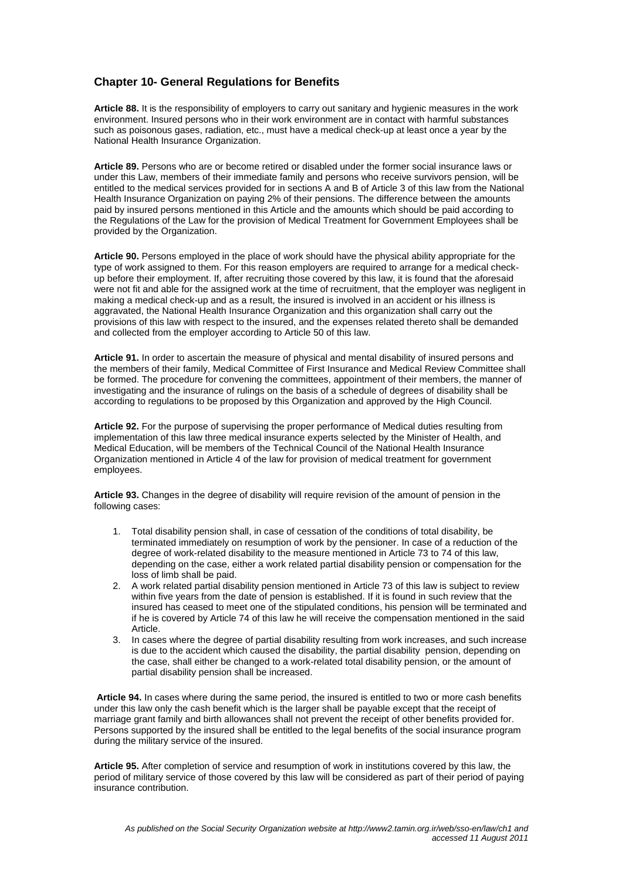# **Chapter 10- General Regulations for Benefits**

**Article 88.** It is the responsibility of employers to carry out sanitary and hygienic measures in the work environment. Insured persons who in their work environment are in contact with harmful substances such as poisonous gases, radiation, etc., must have a medical check-up at least once a year by the National Health Insurance Organization.

**Article 89.** Persons who are or become retired or disabled under the former social insurance laws or under this Law, members of their immediate family and persons who receive survivors pension, will be entitled to the medical services provided for in sections A and B of Article 3 of this law from the National Health Insurance Organization on paying 2% of their pensions. The difference between the amounts paid by insured persons mentioned in this Article and the amounts which should be paid according to the Regulations of the Law for the provision of Medical Treatment for Government Employees shall be provided by the Organization.

**Article 90.** Persons employed in the place of work should have the physical ability appropriate for the type of work assigned to them. For this reason employers are required to arrange for a medical checkup before their employment. If, after recruiting those covered by this law, it is found that the aforesaid were not fit and able for the assigned work at the time of recruitment, that the employer was negligent in making a medical check-up and as a result, the insured is involved in an accident or his illness is aggravated, the National Health Insurance Organization and this organization shall carry out the provisions of this law with respect to the insured, and the expenses related thereto shall be demanded and collected from the employer according to Article 50 of this law.

**Article 91.** In order to ascertain the measure of physical and mental disability of insured persons and the members of their family, Medical Committee of First Insurance and Medical Review Committee shall be formed. The procedure for convening the committees, appointment of their members, the manner of investigating and the insurance of rulings on the basis of a schedule of degrees of disability shall be according to regulations to be proposed by this Organization and approved by the High Council.

**Article 92.** For the purpose of supervising the proper performance of Medical duties resulting from implementation of this law three medical insurance experts selected by the Minister of Health, and Medical Education, will be members of the Technical Council of the National Health Insurance Organization mentioned in Article 4 of the law for provision of medical treatment for government employees.

**Article 93.** Changes in the degree of disability will require revision of the amount of pension in the following cases:

- 1. Total disability pension shall, in case of cessation of the conditions of total disability, be terminated immediately on resumption of work by the pensioner. In case of a reduction of the degree of work-related disability to the measure mentioned in Article 73 to 74 of this law, depending on the case, either a work related partial disability pension or compensation for the loss of limb shall be paid.
- 2. A work related partial disability pension mentioned in Article 73 of this law is subject to review within five years from the date of pension is established. If it is found in such review that the insured has ceased to meet one of the stipulated conditions, his pension will be terminated and if he is covered by Article 74 of this law he will receive the compensation mentioned in the said Article.
- 3. In cases where the degree of partial disability resulting from work increases, and such increase is due to the accident which caused the disability, the partial disability pension, depending on the case, shall either be changed to a work-related total disability pension, or the amount of partial disability pension shall be increased.

**Article 94.** In cases where during the same period, the insured is entitled to two or more cash benefits under this law only the cash benefit which is the larger shall be payable except that the receipt of marriage grant family and birth allowances shall not prevent the receipt of other benefits provided for. Persons supported by the insured shall be entitled to the legal benefits of the social insurance program during the military service of the insured.

**Article 95.** After completion of service and resumption of work in institutions covered by this law, the period of military service of those covered by this law will be considered as part of their period of paying insurance contribution.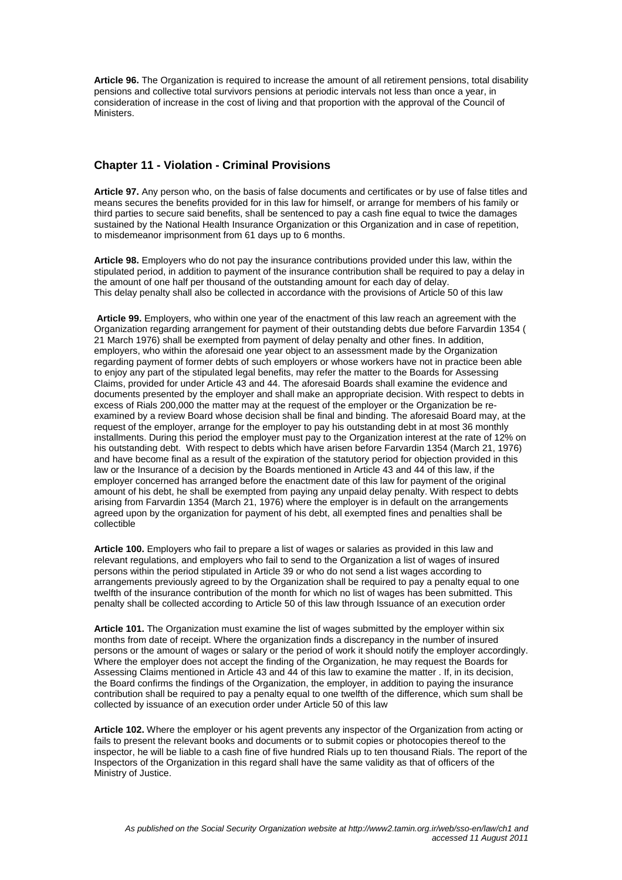**Article 96.** The Organization is required to increase the amount of all retirement pensions, total disability pensions and collective total survivors pensions at periodic intervals not less than once a year, in consideration of increase in the cost of living and that proportion with the approval of the Council of Ministers.

## **Chapter 11 - Violation - Criminal Provisions**

**Article 97.** Any person who, on the basis of false documents and certificates or by use of false titles and means secures the benefits provided for in this law for himself, or arrange for members of his family or third parties to secure said benefits, shall be sentenced to pay a cash fine equal to twice the damages sustained by the National Health Insurance Organization or this Organization and in case of repetition, to misdemeanor imprisonment from 61 days up to 6 months.

**Article 98.** Employers who do not pay the insurance contributions provided under this law, within the stipulated period, in addition to payment of the insurance contribution shall be required to pay a delay in the amount of one half per thousand of the outstanding amount for each day of delay. This delay penalty shall also be collected in accordance with the provisions of Article 50 of this law

**Article 99.** Employers, who within one year of the enactment of this law reach an agreement with the Organization regarding arrangement for payment of their outstanding debts due before Farvardin 1354 ( 21 March 1976) shall be exempted from payment of delay penalty and other fines. In addition, employers, who within the aforesaid one year object to an assessment made by the Organization regarding payment of former debts of such employers or whose workers have not in practice been able to enjoy any part of the stipulated legal benefits, may refer the matter to the Boards for Assessing Claims, provided for under Article 43 and 44. The aforesaid Boards shall examine the evidence and documents presented by the employer and shall make an appropriate decision. With respect to debts in excess of Rials 200,000 the matter may at the request of the employer or the Organization be reexamined by a review Board whose decision shall be final and binding. The aforesaid Board may, at the request of the employer, arrange for the employer to pay his outstanding debt in at most 36 monthly installments. During this period the employer must pay to the Organization interest at the rate of 12% on his outstanding debt. With respect to debts which have arisen before Farvardin 1354 (March 21, 1976) and have become final as a result of the expiration of the statutory period for objection provided in this law or the Insurance of a decision by the Boards mentioned in Article 43 and 44 of this law, if the employer concerned has arranged before the enactment date of this law for payment of the original amount of his debt, he shall be exempted from paying any unpaid delay penalty. With respect to debts arising from Farvardin 1354 (March 21, 1976) where the employer is in default on the arrangements agreed upon by the organization for payment of his debt, all exempted fines and penalties shall be collectible

**Article 100.** Employers who fail to prepare a list of wages or salaries as provided in this law and relevant regulations, and employers who fail to send to the Organization a list of wages of insured persons within the period stipulated in Article 39 or who do not send a list wages according to arrangements previously agreed to by the Organization shall be required to pay a penalty equal to one twelfth of the insurance contribution of the month for which no list of wages has been submitted. This penalty shall be collected according to Article 50 of this law through Issuance of an execution order

**Article 101.** The Organization must examine the list of wages submitted by the employer within six months from date of receipt. Where the organization finds a discrepancy in the number of insured persons or the amount of wages or salary or the period of work it should notify the employer accordingly. Where the employer does not accept the finding of the Organization, he may request the Boards for Assessing Claims mentioned in Article 43 and 44 of this law to examine the matter . If, in its decision, the Board confirms the findings of the Organization, the employer, in addition to paying the insurance contribution shall be required to pay a penalty equal to one twelfth of the difference, which sum shall be collected by issuance of an execution order under Article 50 of this law

**Article 102.** Where the employer or his agent prevents any inspector of the Organization from acting or fails to present the relevant books and documents or to submit copies or photocopies thereof to the inspector, he will be liable to a cash fine of five hundred Rials up to ten thousand Rials. The report of the Inspectors of the Organization in this regard shall have the same validity as that of officers of the Ministry of Justice.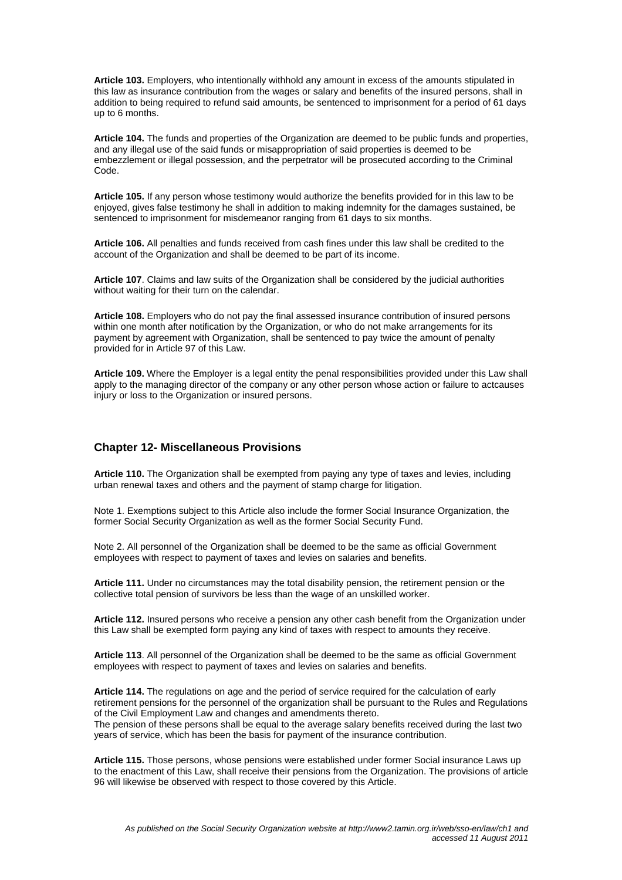**Article 103.** Employers, who intentionally withhold any amount in excess of the amounts stipulated in this law as insurance contribution from the wages or salary and benefits of the insured persons, shall in addition to being required to refund said amounts, be sentenced to imprisonment for a period of 61 days up to 6 months.

**Article 104.** The funds and properties of the Organization are deemed to be public funds and properties, and any illegal use of the said funds or misappropriation of said properties is deemed to be embezzlement or illegal possession, and the perpetrator will be prosecuted according to the Criminal Code.

**Article 105.** If any person whose testimony would authorize the benefits provided for in this law to be enjoyed, gives false testimony he shall in addition to making indemnity for the damages sustained, be sentenced to imprisonment for misdemeanor ranging from 61 days to six months.

**Article 106.** All penalties and funds received from cash fines under this law shall be credited to the account of the Organization and shall be deemed to be part of its income.

**Article 107**. Claims and law suits of the Organization shall be considered by the judicial authorities without waiting for their turn on the calendar.

**Article 108.** Employers who do not pay the final assessed insurance contribution of insured persons within one month after notification by the Organization, or who do not make arrangements for its payment by agreement with Organization, shall be sentenced to pay twice the amount of penalty provided for in Article 97 of this Law.

**Article 109.** Where the Employer is a legal entity the penal responsibilities provided under this Law shall apply to the managing director of the company or any other person whose action or failure to actcauses injury or loss to the Organization or insured persons.

## **Chapter 12- Miscellaneous Provisions**

**Article 110.** The Organization shall be exempted from paying any type of taxes and levies, including urban renewal taxes and others and the payment of stamp charge for litigation.

Note 1. Exemptions subject to this Article also include the former Social Insurance Organization, the former Social Security Organization as well as the former Social Security Fund.

Note 2. All personnel of the Organization shall be deemed to be the same as official Government employees with respect to payment of taxes and levies on salaries and benefits.

**Article 111.** Under no circumstances may the total disability pension, the retirement pension or the collective total pension of survivors be less than the wage of an unskilled worker.

**Article 112.** Insured persons who receive a pension any other cash benefit from the Organization under this Law shall be exempted form paying any kind of taxes with respect to amounts they receive.

**Article 113**. All personnel of the Organization shall be deemed to be the same as official Government employees with respect to payment of taxes and levies on salaries and benefits.

**Article 114.** The regulations on age and the period of service required for the calculation of early retirement pensions for the personnel of the organization shall be pursuant to the Rules and Regulations of the Civil Employment Law and changes and amendments thereto. The pension of these persons shall be equal to the average salary benefits received during the last two years of service, which has been the basis for payment of the insurance contribution.

**Article 115.** Those persons, whose pensions were established under former Social insurance Laws up to the enactment of this Law, shall receive their pensions from the Organization. The provisions of article 96 will likewise be observed with respect to those covered by this Article.